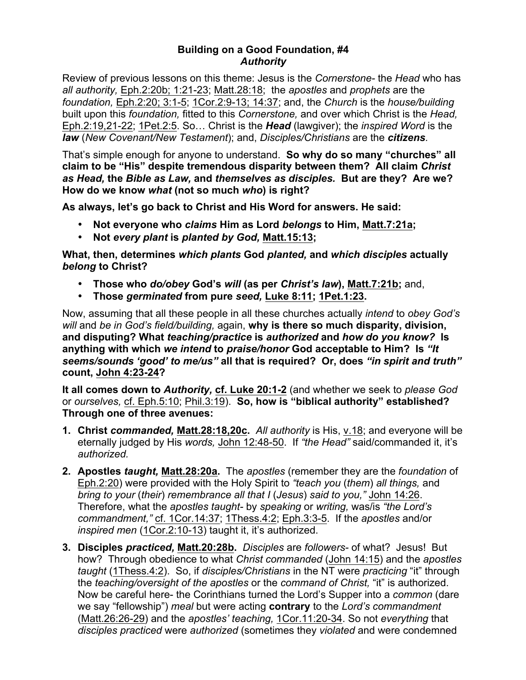## **Building on a Good Foundation, #4** *Authority*

Review of previous lessons on this theme: Jesus is the *Cornerstone-* the *Head* who has *all authority,* Eph.2:20b; 1:21-23; Matt.28:18; the *apostles* and *prophets* are the *foundation,* Eph.2:20; 3:1-5; 1Cor.2:9-13; 14:37; and, the *Church* is the *house/building*  built upon this *foundation,* fitted to this *Cornerstone,* and over which Christ is the *Head,*  Eph.2:19,21-22; 1Pet.2:5. So… Christ is the *Head* (lawgiver); the *inspired Word* is the *law* (*New Covenant/New Testament*); and, *Disciples/Christians* are the *citizens.* 

That's simple enough for anyone to understand. **So why do so many "churches" all claim to be "His" despite tremendous disparity between them? All claim** *Christ as Head,* **the** *Bible as Law,* **and** *themselves as disciples.* **But are they? Are we? How do we know** *what* **(not so much** *who***) is right?**

**As always, let's go back to Christ and His Word for answers. He said:**

- **Not everyone who** *claims* **Him as Lord** *belongs* **to Him, Matt.7:21a;**
- **Not** *every plant* **is** *planted by God,* **Matt.15:13;**

**What, then, determines** *which plants* **God** *planted,* **and** *which disciples* **actually**  *belong* **to Christ?**

- **Those who** *do/obey* **God's** *will* **(as per** *Christ's law***), Matt.7:21b;** and,
- **Those** *germinated* **from pure** *seed,* **Luke 8:11; 1Pet.1:23.**

Now, assuming that all these people in all these churches actually *intend* to *obey God's will* and *be in God's field/building,* again, **why is there so much disparity, division, and disputing? What** *teaching/practice* **is** *authorized* **and** *how do you know?* **Is anything with which** *we intend* **to** *praise/honor* **God acceptable to Him? Is** *"It seems/sounds 'good' to me/us"* **all that is required? Or, does** *"in spirit and truth"*  **count, John 4:23-24?** 

**It all comes down to** *Authority,* **cf. Luke 20:1-2** (and whether we seek to *please God*  or *ourselves,* cf. Eph.5:10; Phil.3:19). **So, how is "biblical authority" established? Through one of three avenues:**

- **1. Christ** *commanded,* **Matt.28:18,20c.** *All authority* is His, v.18; and everyone will be eternally judged by His *words,* John 12:48-50. If *"the Head"* said/commanded it, it's *authorized.*
- **2. Apostles** *taught,* **Matt.28:20a.** The *apostles* (remember they are the *foundation* of Eph.2:20) were provided with the Holy Spirit to *"teach you* (*them*) *all things,* and *bring to your* (*their*) *remembrance all that I* (*Jesus*) *said to you,"* John 14:26. Therefore, what the *apostles taught-* by *speaking* or *writing,* was/is *"the Lord's commandment,"* cf. 1Cor.14:37; 1Thess.4:2; Eph.3:3-5. If the *apostles* and/or *inspired men* (1Cor.2:10-13) taught it, it's authorized.
- **3. Disciples** *practiced,* **Matt.20:28b.** *Disciples* are *followers-* of what? Jesus! But how? Through obedience to what *Christ commanded* (John 14:15) and the *apostles taught* (1Thess.4:2). So, if *disciples/Christians* in the NT were *practicing* "it" through the *teaching/oversight of the apostles* or the *command of Christ,* "it" is authorized. Now be careful here- the Corinthians turned the Lord's Supper into a *common* (dare we say "fellowship") *meal* but were acting **contrary** to the *Lord's commandment* (Matt.26:26-29) and the *apostles' teaching,* 1Cor.11:20-34. So not *everything* that *disciples practiced* were *authorized* (sometimes they *violated* and were condemned